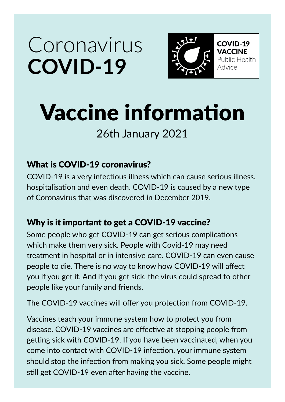## Coronavirus **Covid-19**



**COVID-19 VACCINE** Public Health Advice

# Vaccine information

### 26th January 2021

#### What is COVID-19 coronavirus?

COVID-19 is a very infectious illness which can cause serious illness, hospitalisation and even death. COVID-19 is caused by a new type of Coronavirus that was discovered in December 2019.

#### Why is it important to get a COVID-19 vaccine?

Some people who get COVID-19 can get serious complications which make them very sick. People with Covid-19 may need treatment in hospital or in intensive care. COVID-19 can even cause people to die. There is no way to know how COVID-19 will affect you if you get it. And if you get sick, the virus could spread to other people like your family and friends.

The COVID-19 vaccines will offer you protection from COVID-19.

Vaccines teach your immune system how to protect you from disease. COVID-19 vaccines are effective at stopping people from getting sick with COVID-19. If you have been vaccinated, when you come into contact with COVID-19 infection, your immune system should stop the infection from making you sick. Some people might still get COVID-19 even after having the vaccine.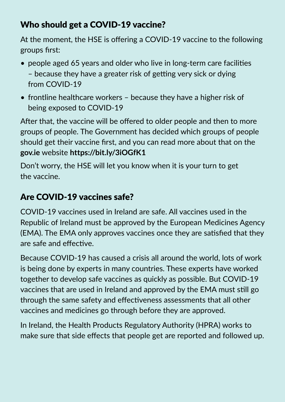#### Who should get a COVID-19 vaccine?

At the moment, the HSE is offering a COVID-19 vaccine to the following groups first:

- people aged 65 years and older who live in long-term care facilities – because they have a greater risk of getting very sick or dying from COVID-19
- frontline healthcare workers because they have a higher risk of being exposed to COVID-19

After that, the vaccine will be offered to older people and then to more groups of people. The Government has decided which groups of people should get their vaccine first, and you can read more about that on the **gov.ie** website **https://bit.ly/3iOGfK1** 

Don't worry, the HSE will let you know when it is your turn to get the vaccine.

#### Are COVID-19 vaccines safe?

COVID-19 vaccines used in Ireland are safe. All vaccines used in the Republic of Ireland must be approved by the European Medicines Agency (EMA). The EMA only approves vaccines once they are satisfied that they are safe and effective.

Because COVID-19 has caused a crisis all around the world, lots of work is being done by experts in many countries. These experts have worked together to develop safe vaccines as quickly as possible. But COVID-19 vaccines that are used in Ireland and approved by the EMA must still go through the same safety and effectiveness assessments that all other vaccines and medicines go through before they are approved.

In Ireland, the Health Products Regulatory Authority (HPRA) works to make sure that side effects that people get are reported and followed up.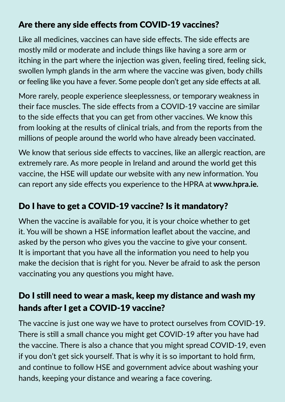#### Are there any side effects from COVID-19 vaccines?

Like all medicines, vaccines can have side effects. The side effects are mostly mild or moderate and include things like having a sore arm or itching in the part where the injection was given, feeling tired, feeling sick, swollen lymph glands in the arm where the vaccine was given, body chills or feeling like you have a fever. Some people don't get any side effects at all.

More rarely, people experience sleeplessness, or temporary weakness in their face muscles. The side effects from a COVID-19 vaccine are similar to the side effects that you can get from other vaccines. We know this from looking at the results of clinical trials, and from the reports from the millions of people around the world who have already been vaccinated.

We know that serious side effects to vaccines, like an allergic reaction, are extremely rare. As more people in Ireland and around the world get this vaccine, the HSE will update our website with any new information. You can report any side effects you experience to the HPRA at **www.hpra.ie.**

#### Do I have to get a COVID-19 vaccine? Is it mandatory?

When the vaccine is available for you, it is your choice whether to get it. You will be shown a HSE information leaflet about the vaccine, and asked by the person who gives you the vaccine to give your consent. It is important that you have all the information you need to help you make the decision that is right for you. Never be afraid to ask the person vaccinating you any questions you might have.

#### Do I still need to wear a mask, keep my distance and wash my hands after I get a COVID-19 vaccine?

The vaccine is just one way we have to protect ourselves from COVID-19. There is still a small chance you might get COVID-19 after you have had the vaccine. There is also a chance that you might spread COVID-19, even if you don't get sick yourself. That is why it is so important to hold firm, and continue to follow HSE and government advice about washing your hands, keeping your distance and wearing a face covering.